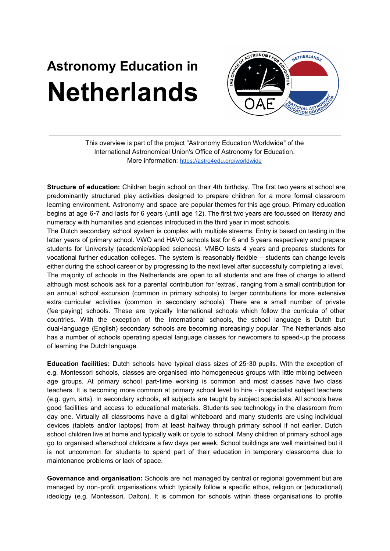## **Astronomy Education in Netherlands**



This overview is part of the project "Astronomy Education Worldwide" of the International Astronomical Union's Office of Astronomy for Education. More information: <https://astro4edu.org/worldwide>

**Structure of education:** Children begin school on their 4th birthday. The first two years at school are predominantly structured play activities designed to prepare children for a more formal classroom learning environment. Astronomy and space are popular themes for this age group. Primary education begins at age 6-7 and lasts for 6 years (until age 12). The first two years are focussed on literacy and numeracy with humanities and sciences introduced in the third year in most schools.

The Dutch secondary school system is complex with multiple streams. Entry is based on testing in the latter years of primary school. VWO and HAVO schools last for 6 and 5 years respectively and prepare students for University (academic/applied sciences). VMBO lasts 4 years and prepares students for vocational further education colleges. The system is reasonably flexible – students can change levels either during the school career or by progressing to the next level after successfully completing a level. The majority of schools in the Netherlands are open to all students and are free of charge to attend although most schools ask for a parental contribution for 'extras', ranging from a small contribution for an annual school excursion (common in primary schools) to larger contributions for more extensive extra-curricular activities (common in secondary schools). There are a small number of private (fee-paying) schools. These are typically International schools which follow the curricula of other countries. With the exception of the International schools, the school language is Dutch but dual-language (English) secondary schools are becoming increasingly popular. The Netherlands also has a number of schools operating special language classes for newcomers to speed-up the process of learning the Dutch language.

**Education facilities:** Dutch schools have typical class sizes of 25-30 pupils. With the exception of e.g. Montessori schools, classes are organised into homogeneous groups with little mixing between age groups. At primary school part-time working is common and most classes have two class teachers. It is becoming more common at primary school level to hire - in specialist subject teachers (e.g. gym, arts). In secondary schools, all subjects are taught by subject specialists. All schools have good facilities and access to educational materials. Students see technology in the classroom from day one. Virtually all classrooms have a digital whiteboard and many students are using individual devices (tablets and/or laptops) from at least halfway through primary school if not earlier. Dutch school children live at home and typically walk or cycle to school. Many children of primary school age go to organised afterschool childcare a few days per week. School buildings are well maintained but it is not uncommon for students to spend part of their education in temporary classrooms due to maintenance problems or lack of space.

**Governance and organisation:** Schools are not managed by central or regional government but are managed by non-profit organisations which typically follow a specific ethos, religion or (educational) ideology (e.g. Montessori, Dalton). It is common for schools within these organisations to profile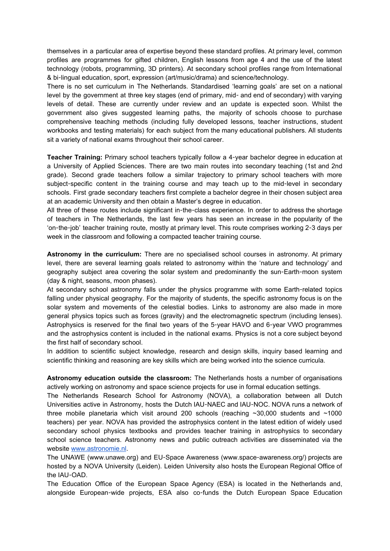themselves in a particular area of expertise beyond these standard profiles. At primary level, common profiles are programmes for gifted children, English lessons from age 4 and the use of the latest technology (robots, programming, 3D printers). At secondary school profiles range from International & bi-lingual education, sport, expression (art/music/drama) and science/technology.

There is no set curriculum in The Netherlands. Standardised 'learning goals' are set on a national level by the government at three key stages (end of primary, mid- and end of secondary) with varying levels of detail. These are currently under review and an update is expected soon. Whilst the government also gives suggested learning paths, the majority of schools choose to purchase comprehensive teaching methods (including fully developed lessons, teacher instructions, student workbooks and testing materials) for each subject from the many educational publishers. All students sit a variety of national exams throughout their school career.

**Teacher Training:** Primary school teachers typically follow a 4-year bachelor degree in education at a University of Applied Sciences. There are two main routes into secondary teaching (1st and 2nd grade). Second grade teachers follow a similar trajectory to primary school teachers with more subject-specific content in the training course and may teach up to the mid-level in secondary schools. First grade secondary teachers first complete a bachelor degree in their chosen subject area at an academic University and then obtain a Master's degree in education.

All three of these routes include significant in-the-class experience. In order to address the shortage of teachers in The Netherlands, the last few years has seen an increase in the popularity of the 'on-the-job' teacher training route, mostly at primary level. This route comprises working 2-3 days per week in the classroom and following a compacted teacher training course.

**Astronomy in the curriculum:** There are no specialised school courses in astronomy. At primary level, there are several learning goals related to astronomy within the 'nature and technology' and geography subject area covering the solar system and predominantly the sun-Earth-moon system (day & night, seasons, moon phases).

At secondary school astronomy falls under the physics programme with some Earth-related topics falling under physical geography. For the majority of students, the specific astronomy focus is on the solar system and movements of the celestial bodies. Links to astronomy are also made in more general physics topics such as forces (gravity) and the electromagnetic spectrum (including lenses). Astrophysics is reserved for the final two years of the 5-year HAVO and 6-year VWO programmes and the astrophysics content is included in the national exams. Physics is not a core subject beyond the first half of secondary school.

In addition to scientific subject knowledge, research and design skills, inquiry based learning and scientific thinking and reasoning are key skills which are being worked into the science curricula.

**Astronomy education outside the classroom:** The Netherlands hosts a number of organisations actively working on astronomy and space science projects for use in formal education settings.

The Netherlands Research School for Astronomy (NOVA), a collaboration between all Dutch Universities active in Astronomy, hosts the Dutch IAU-NAEC and IAU-NOC. NOVA runs a network of three mobile planetaria which visit around 200 schools (reaching  $\sim$ 30,000 students and  $\sim$ 1000 teachers) per year. NOVA has provided the astrophysics content in the latest edition of widely used secondary school physics textbooks and provides teacher training in astrophysics to secondary school science teachers. Astronomy news and public outreach activities are disseminated via the website [www.astronomie.nl](http://www.astronomie.nl/).

The UNAWE (www.unawe.org) and EU-Space Awareness (www.space-awareness.org/) projects are hosted by a NOVA University (Leiden). Leiden University also hosts the European Regional Office of the IAU-OAD.

The Education Office of the European Space Agency (ESA) is located in the Netherlands and, alongside European-wide projects, ESA also co-funds the Dutch European Space Education